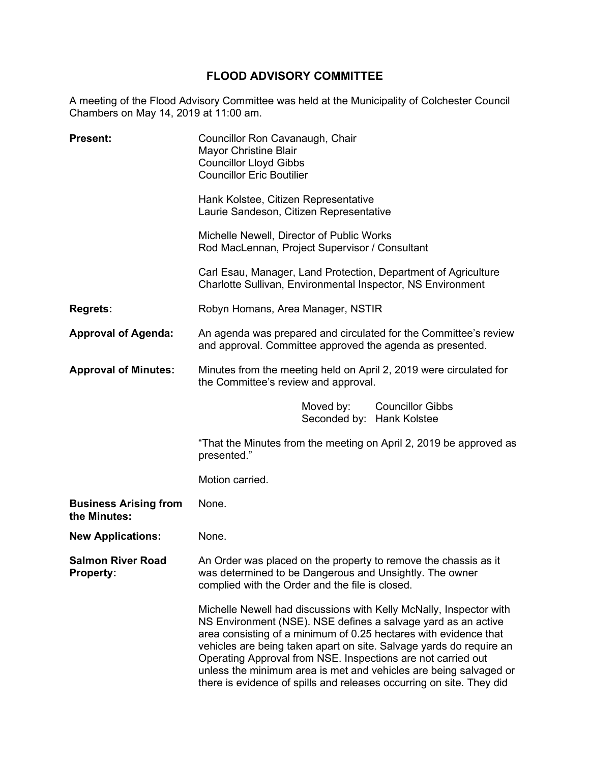# **FLOOD ADVISORY COMMITTEE**

A meeting of the Flood Advisory Committee was held at the Municipality of Colchester Council Chambers on May 14, 2019 at 11:00 am.

| <b>Present:</b>                              | Councillor Ron Cavanaugh, Chair<br><b>Mayor Christine Blair</b><br><b>Councillor Lloyd Gibbs</b><br><b>Councillor Eric Boutilier</b>                                                                                                                                                                                                                                                                                                                                                        |
|----------------------------------------------|---------------------------------------------------------------------------------------------------------------------------------------------------------------------------------------------------------------------------------------------------------------------------------------------------------------------------------------------------------------------------------------------------------------------------------------------------------------------------------------------|
|                                              | Hank Kolstee, Citizen Representative<br>Laurie Sandeson, Citizen Representative                                                                                                                                                                                                                                                                                                                                                                                                             |
|                                              | Michelle Newell, Director of Public Works<br>Rod MacLennan, Project Supervisor / Consultant                                                                                                                                                                                                                                                                                                                                                                                                 |
|                                              | Carl Esau, Manager, Land Protection, Department of Agriculture<br>Charlotte Sullivan, Environmental Inspector, NS Environment                                                                                                                                                                                                                                                                                                                                                               |
| <b>Regrets:</b>                              | Robyn Homans, Area Manager, NSTIR                                                                                                                                                                                                                                                                                                                                                                                                                                                           |
| <b>Approval of Agenda:</b>                   | An agenda was prepared and circulated for the Committee's review<br>and approval. Committee approved the agenda as presented.                                                                                                                                                                                                                                                                                                                                                               |
| <b>Approval of Minutes:</b>                  | Minutes from the meeting held on April 2, 2019 were circulated for<br>the Committee's review and approval.                                                                                                                                                                                                                                                                                                                                                                                  |
|                                              | <b>Councillor Gibbs</b><br>Moved by:<br>Seconded by: Hank Kolstee                                                                                                                                                                                                                                                                                                                                                                                                                           |
|                                              | "That the Minutes from the meeting on April 2, 2019 be approved as<br>presented."                                                                                                                                                                                                                                                                                                                                                                                                           |
|                                              | Motion carried.                                                                                                                                                                                                                                                                                                                                                                                                                                                                             |
| <b>Business Arising from</b><br>the Minutes: | None.                                                                                                                                                                                                                                                                                                                                                                                                                                                                                       |
| <b>New Applications:</b>                     | None.                                                                                                                                                                                                                                                                                                                                                                                                                                                                                       |
| <b>Salmon River Road</b><br><b>Property:</b> | An Order was placed on the property to remove the chassis as it<br>was determined to be Dangerous and Unsightly. The owner<br>complied with the Order and the file is closed.                                                                                                                                                                                                                                                                                                               |
|                                              | Michelle Newell had discussions with Kelly McNally, Inspector with<br>NS Environment (NSE). NSE defines a salvage yard as an active<br>area consisting of a minimum of 0.25 hectares with evidence that<br>vehicles are being taken apart on site. Salvage yards do require an<br>Operating Approval from NSE. Inspections are not carried out<br>unless the minimum area is met and vehicles are being salvaged or<br>there is evidence of spills and releases occurring on site. They did |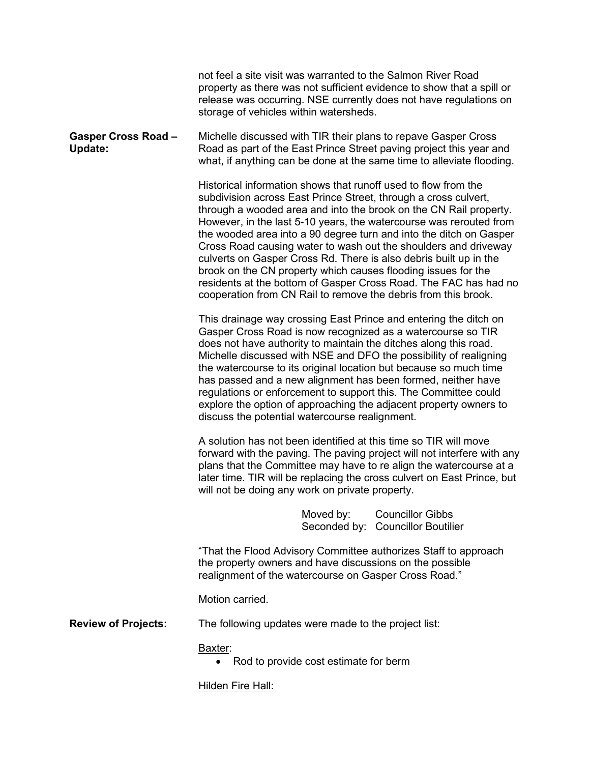|                                       | not feel a site visit was warranted to the Salmon River Road<br>property as there was not sufficient evidence to show that a spill or<br>release was occurring. NSE currently does not have regulations on<br>storage of vehicles within watersheds.                                                                                                                                                                                                                                                                                                                                                                                                                                              |
|---------------------------------------|---------------------------------------------------------------------------------------------------------------------------------------------------------------------------------------------------------------------------------------------------------------------------------------------------------------------------------------------------------------------------------------------------------------------------------------------------------------------------------------------------------------------------------------------------------------------------------------------------------------------------------------------------------------------------------------------------|
| <b>Gasper Cross Road -</b><br>Update: | Michelle discussed with TIR their plans to repave Gasper Cross<br>Road as part of the East Prince Street paving project this year and<br>what, if anything can be done at the same time to alleviate flooding.                                                                                                                                                                                                                                                                                                                                                                                                                                                                                    |
|                                       | Historical information shows that runoff used to flow from the<br>subdivision across East Prince Street, through a cross culvert,<br>through a wooded area and into the brook on the CN Rail property.<br>However, in the last 5-10 years, the watercourse was rerouted from<br>the wooded area into a 90 degree turn and into the ditch on Gasper<br>Cross Road causing water to wash out the shoulders and driveway<br>culverts on Gasper Cross Rd. There is also debris built up in the<br>brook on the CN property which causes flooding issues for the<br>residents at the bottom of Gasper Cross Road. The FAC has had no<br>cooperation from CN Rail to remove the debris from this brook. |
|                                       | This drainage way crossing East Prince and entering the ditch on<br>Gasper Cross Road is now recognized as a watercourse so TIR<br>does not have authority to maintain the ditches along this road.<br>Michelle discussed with NSE and DFO the possibility of realigning<br>the watercourse to its original location but because so much time<br>has passed and a new alignment has been formed, neither have<br>regulations or enforcement to support this. The Committee could<br>explore the option of approaching the adjacent property owners to<br>discuss the potential watercourse realignment.                                                                                           |
|                                       | A solution has not been identified at this time so TIR will move<br>forward with the paving. The paving project will not interfere with any<br>plans that the Committee may have to re align the watercourse at a<br>later time. TIR will be replacing the cross culvert on East Prince, but<br>will not be doing any work on private property.                                                                                                                                                                                                                                                                                                                                                   |
|                                       | Moved by:<br><b>Councillor Gibbs</b><br>Seconded by: Councillor Boutilier                                                                                                                                                                                                                                                                                                                                                                                                                                                                                                                                                                                                                         |
|                                       | "That the Flood Advisory Committee authorizes Staff to approach<br>the property owners and have discussions on the possible<br>realignment of the watercourse on Gasper Cross Road."                                                                                                                                                                                                                                                                                                                                                                                                                                                                                                              |
|                                       | Motion carried.                                                                                                                                                                                                                                                                                                                                                                                                                                                                                                                                                                                                                                                                                   |
| <b>Review of Projects:</b>            | The following updates were made to the project list:                                                                                                                                                                                                                                                                                                                                                                                                                                                                                                                                                                                                                                              |
|                                       | Baxter:<br>Rod to provide cost estimate for berm                                                                                                                                                                                                                                                                                                                                                                                                                                                                                                                                                                                                                                                  |
|                                       | Hilden Fire Hall:                                                                                                                                                                                                                                                                                                                                                                                                                                                                                                                                                                                                                                                                                 |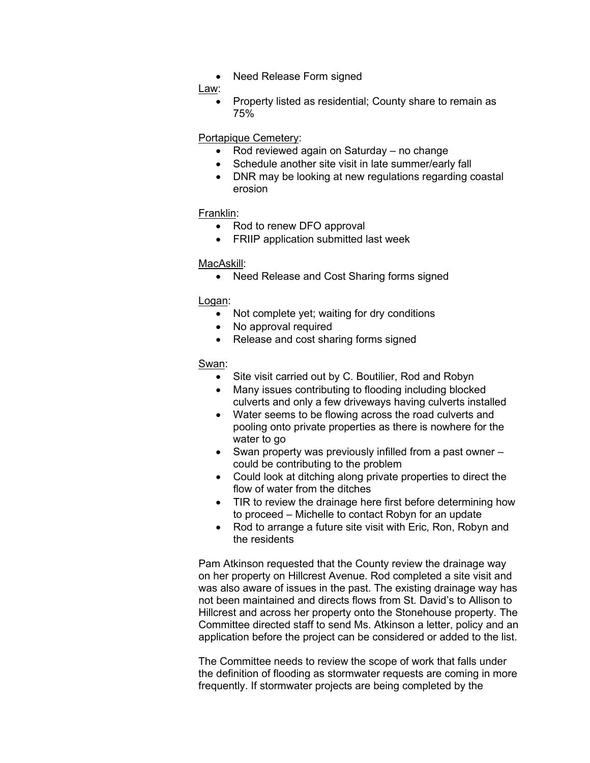• Need Release Form signed

#### Law:

• Property listed as residential; County share to remain as 75%

## Portapique Cemetery:

- Rod reviewed again on Saturday no change
- Schedule another site visit in late summer/early fall
- DNR may be looking at new regulations regarding coastal erosion

### Franklin:

- Rod to renew DFO approval
- FRIIP application submitted last week

### MacAskill:

• Need Release and Cost Sharing forms signed

### Logan:

- Not complete yet; waiting for dry conditions
- No approval required
- Release and cost sharing forms signed

### Swan:

- Site visit carried out by C. Boutilier, Rod and Robyn
- Many issues contributing to flooding including blocked culverts and only a few driveways having culverts installed
- Water seems to be flowing across the road culverts and pooling onto private properties as there is nowhere for the water to go
- Swan property was previously infilled from a past owner could be contributing to the problem
- Could look at ditching along private properties to direct the flow of water from the ditches
- TIR to review the drainage here first before determining how to proceed – Michelle to contact Robyn for an update
- Rod to arrange a future site visit with Eric, Ron, Robyn and the residents

Pam Atkinson requested that the County review the drainage way on her property on Hillcrest Avenue. Rod completed a site visit and was also aware of issues in the past. The existing drainage way has not been maintained and directs flows from St. David's to Allison to Hillcrest and across her property onto the Stonehouse property. The Committee directed staff to send Ms. Atkinson a letter, policy and an application before the project can be considered or added to the list.

The Committee needs to review the scope of work that falls under the definition of flooding as stormwater requests are coming in more frequently. If stormwater projects are being completed by the